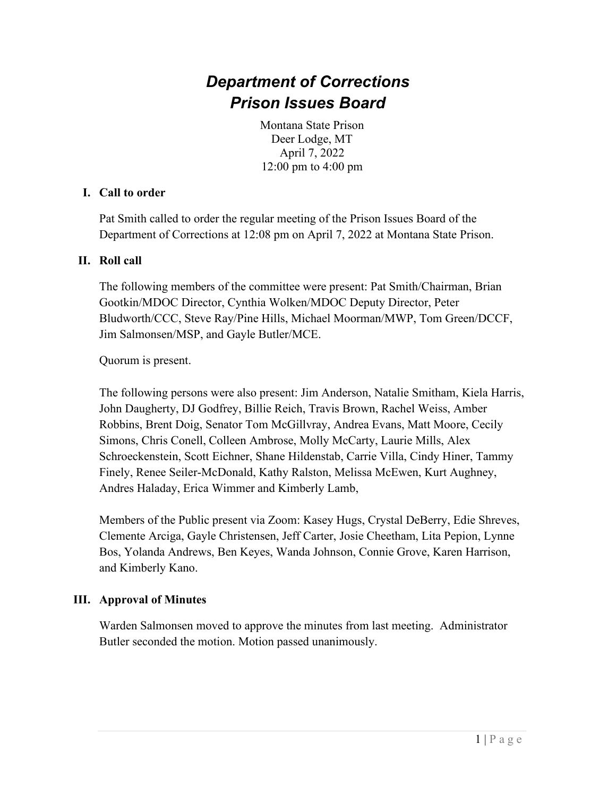# *Department of Corrections Prison Issues Board*

Montana State Prison Deer Lodge, MT April 7, 2022 12:00 pm to 4:00 pm

#### **I. Call to order**

Pat Smith called to order the regular meeting of the Prison Issues Board of the Department of Corrections at 12:08 pm on April 7, 2022 at Montana State Prison.

#### **II. Roll call**

The following members of the committee were present: Pat Smith/Chairman, Brian Gootkin/MDOC Director, Cynthia Wolken/MDOC Deputy Director, Peter Bludworth/CCC, Steve Ray/Pine Hills, Michael Moorman/MWP, Tom Green/DCCF, Jim Salmonsen/MSP, and Gayle Butler/MCE.

Quorum is present.

The following persons were also present: Jim Anderson, Natalie Smitham, Kiela Harris, John Daugherty, DJ Godfrey, Billie Reich, Travis Brown, Rachel Weiss, Amber Robbins, Brent Doig, Senator Tom McGillvray, Andrea Evans, Matt Moore, Cecily Simons, Chris Conell, Colleen Ambrose, Molly McCarty, Laurie Mills, Alex Schroeckenstein, Scott Eichner, Shane Hildenstab, Carrie Villa, Cindy Hiner, Tammy Finely, Renee Seiler-McDonald, Kathy Ralston, Melissa McEwen, Kurt Aughney, Andres Haladay, Erica Wimmer and Kimberly Lamb,

Members of the Public present via Zoom: Kasey Hugs, Crystal DeBerry, Edie Shreves, Clemente Arciga, Gayle Christensen, Jeff Carter, Josie Cheetham, Lita Pepion, Lynne Bos, Yolanda Andrews, Ben Keyes, Wanda Johnson, Connie Grove, Karen Harrison, and Kimberly Kano.

## **III. Approval of Minutes**

Warden Salmonsen moved to approve the minutes from last meeting. Administrator Butler seconded the motion. Motion passed unanimously.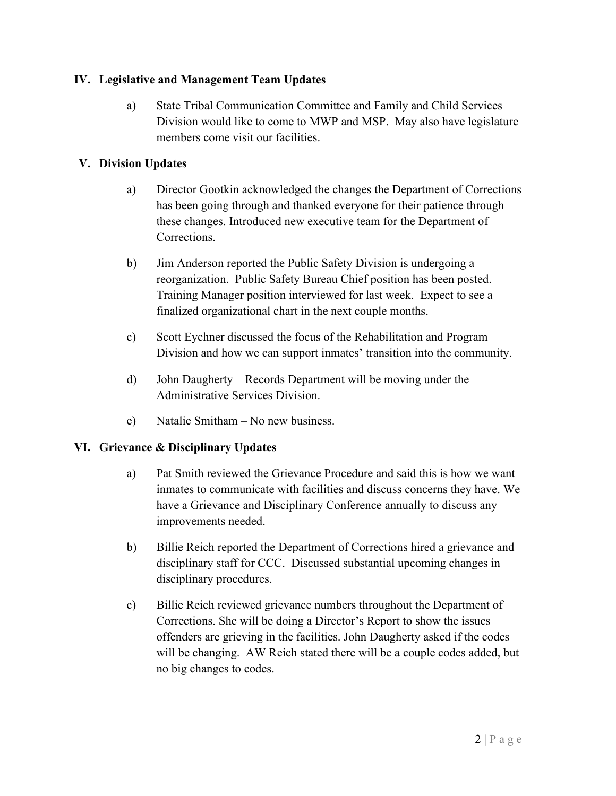## **IV. Legislative and Management Team Updates**

a) State Tribal Communication Committee and Family and Child Services Division would like to come to MWP and MSP. May also have legislature members come visit our facilities.

# **V. Division Updates**

- a) Director Gootkin acknowledged the changes the Department of Corrections has been going through and thanked everyone for their patience through these changes. Introduced new executive team for the Department of Corrections.
- b) Jim Anderson reported the Public Safety Division is undergoing a reorganization. Public Safety Bureau Chief position has been posted. Training Manager position interviewed for last week. Expect to see a finalized organizational chart in the next couple months.
- c) Scott Eychner discussed the focus of the Rehabilitation and Program Division and how we can support inmates' transition into the community.
- d) John Daugherty Records Department will be moving under the Administrative Services Division.
- e) Natalie Smitham No new business.

## **VI. Grievance & Disciplinary Updates**

- a) Pat Smith reviewed the Grievance Procedure and said this is how we want inmates to communicate with facilities and discuss concerns they have. We have a Grievance and Disciplinary Conference annually to discuss any improvements needed.
- b) Billie Reich reported the Department of Corrections hired a grievance and disciplinary staff for CCC. Discussed substantial upcoming changes in disciplinary procedures.
- c) Billie Reich reviewed grievance numbers throughout the Department of Corrections. She will be doing a Director's Report to show the issues offenders are grieving in the facilities. John Daugherty asked if the codes will be changing. AW Reich stated there will be a couple codes added, but no big changes to codes.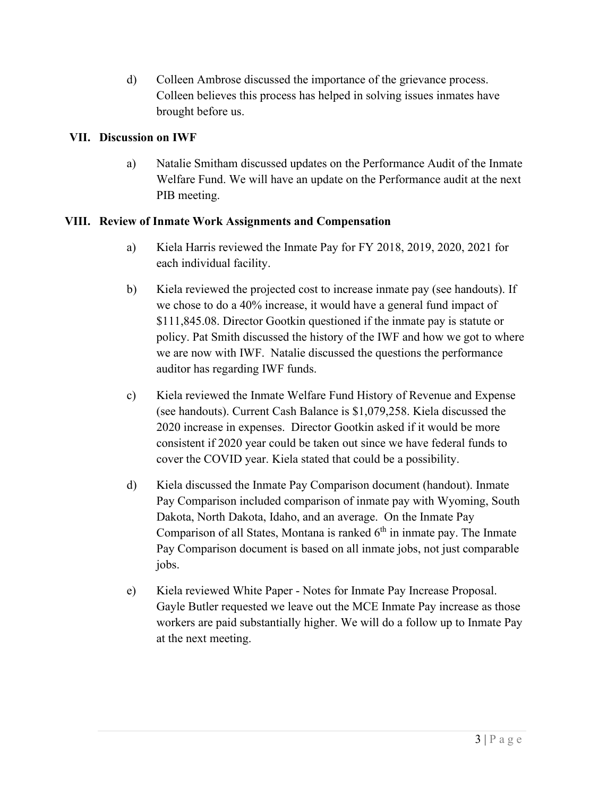d) Colleen Ambrose discussed the importance of the grievance process. Colleen believes this process has helped in solving issues inmates have brought before us.

## **VII. Discussion on IWF**

a) Natalie Smitham discussed updates on the Performance Audit of the Inmate Welfare Fund. We will have an update on the Performance audit at the next PIB meeting.

#### **VIII. Review of Inmate Work Assignments and Compensation**

- a) Kiela Harris reviewed the Inmate Pay for FY 2018, 2019, 2020, 2021 for each individual facility.
- b) Kiela reviewed the projected cost to increase inmate pay (see handouts). If we chose to do a 40% increase, it would have a general fund impact of \$111,845.08. Director Gootkin questioned if the inmate pay is statute or policy. Pat Smith discussed the history of the IWF and how we got to where we are now with IWF. Natalie discussed the questions the performance auditor has regarding IWF funds.
- c) Kiela reviewed the Inmate Welfare Fund History of Revenue and Expense (see handouts). Current Cash Balance is \$1,079,258. Kiela discussed the 2020 increase in expenses. Director Gootkin asked if it would be more consistent if 2020 year could be taken out since we have federal funds to cover the COVID year. Kiela stated that could be a possibility.
- d) Kiela discussed the Inmate Pay Comparison document (handout). Inmate Pay Comparison included comparison of inmate pay with Wyoming, South Dakota, North Dakota, Idaho, and an average. On the Inmate Pay Comparison of all States, Montana is ranked  $6<sup>th</sup>$  in inmate pay. The Inmate Pay Comparison document is based on all inmate jobs, not just comparable jobs.
- e) Kiela reviewed White Paper Notes for Inmate Pay Increase Proposal. Gayle Butler requested we leave out the MCE Inmate Pay increase as those workers are paid substantially higher. We will do a follow up to Inmate Pay at the next meeting.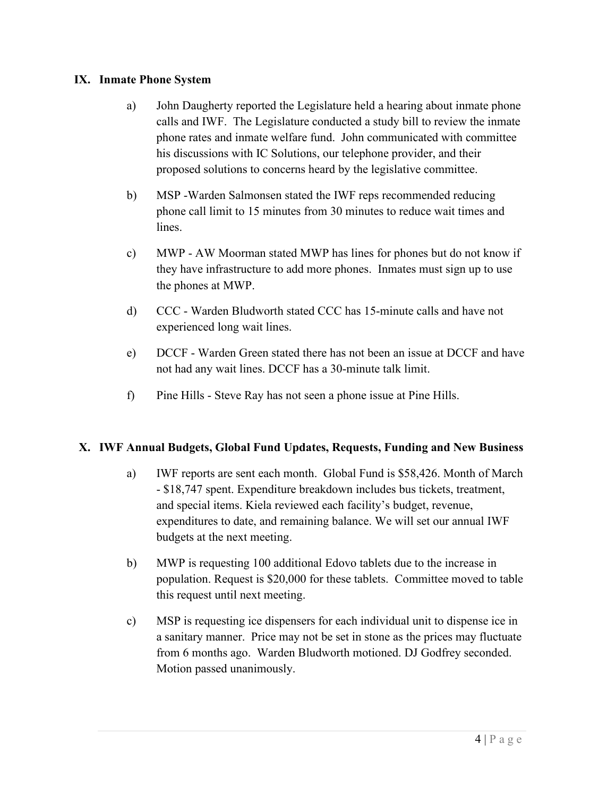#### **IX. Inmate Phone System**

- a) John Daugherty reported the Legislature held a hearing about inmate phone calls and IWF. The Legislature conducted a study bill to review the inmate phone rates and inmate welfare fund. John communicated with committee his discussions with IC Solutions, our telephone provider, and their proposed solutions to concerns heard by the legislative committee.
- b) MSP -Warden Salmonsen stated the IWF reps recommended reducing phone call limit to 15 minutes from 30 minutes to reduce wait times and lines.
- c) MWP AW Moorman stated MWP has lines for phones but do not know if they have infrastructure to add more phones. Inmates must sign up to use the phones at MWP.
- d) CCC Warden Bludworth stated CCC has 15-minute calls and have not experienced long wait lines.
- e) DCCF Warden Green stated there has not been an issue at DCCF and have not had any wait lines. DCCF has a 30-minute talk limit.
- f) Pine Hills Steve Ray has not seen a phone issue at Pine Hills.

## **X. IWF Annual Budgets, Global Fund Updates, Requests, Funding and New Business**

- a) IWF reports are sent each month. Global Fund is \$58,426. Month of March - \$18,747 spent. Expenditure breakdown includes bus tickets, treatment, and special items. Kiela reviewed each facility's budget, revenue, expenditures to date, and remaining balance. We will set our annual IWF budgets at the next meeting.
- b) MWP is requesting 100 additional Edovo tablets due to the increase in population. Request is \$20,000 for these tablets. Committee moved to table this request until next meeting.
- c) MSP is requesting ice dispensers for each individual unit to dispense ice in a sanitary manner. Price may not be set in stone as the prices may fluctuate from 6 months ago. Warden Bludworth motioned. DJ Godfrey seconded. Motion passed unanimously.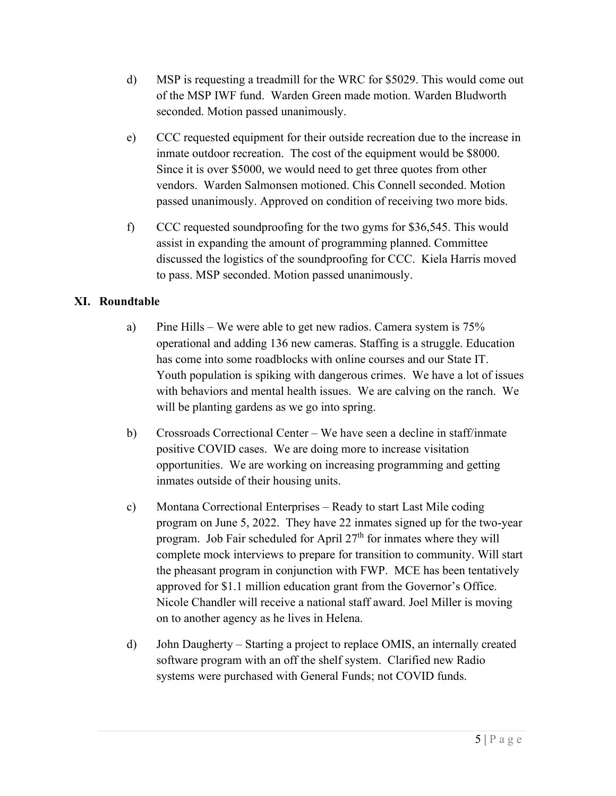- d) MSP is requesting a treadmill for the WRC for \$5029. This would come out of the MSP IWF fund. Warden Green made motion. Warden Bludworth seconded. Motion passed unanimously.
- e) CCC requested equipment for their outside recreation due to the increase in inmate outdoor recreation. The cost of the equipment would be \$8000. Since it is over \$5000, we would need to get three quotes from other vendors. Warden Salmonsen motioned. Chis Connell seconded. Motion passed unanimously. Approved on condition of receiving two more bids.
- f) CCC requested soundproofing for the two gyms for \$36,545. This would assist in expanding the amount of programming planned. Committee discussed the logistics of the soundproofing for CCC. Kiela Harris moved to pass. MSP seconded. Motion passed unanimously.

## **XI. Roundtable**

- a) Pine Hills We were able to get new radios. Camera system is 75% operational and adding 136 new cameras. Staffing is a struggle. Education has come into some roadblocks with online courses and our State IT. Youth population is spiking with dangerous crimes. We have a lot of issues with behaviors and mental health issues. We are calving on the ranch. We will be planting gardens as we go into spring.
- b) Crossroads Correctional Center We have seen a decline in staff/inmate positive COVID cases. We are doing more to increase visitation opportunities. We are working on increasing programming and getting inmates outside of their housing units.
- c) Montana Correctional Enterprises Ready to start Last Mile coding program on June 5, 2022. They have 22 inmates signed up for the two-year program. Job Fair scheduled for April  $27<sup>th</sup>$  for inmates where they will complete mock interviews to prepare for transition to community. Will start the pheasant program in conjunction with FWP. MCE has been tentatively approved for \$1.1 million education grant from the Governor's Office. Nicole Chandler will receive a national staff award. Joel Miller is moving on to another agency as he lives in Helena.
- d) John Daugherty Starting a project to replace OMIS, an internally created software program with an off the shelf system. Clarified new Radio systems were purchased with General Funds; not COVID funds.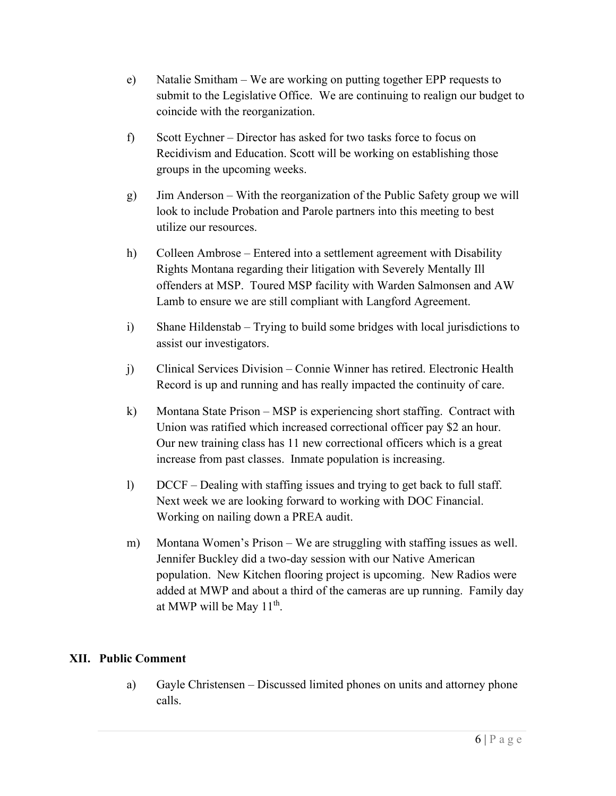- e) Natalie Smitham We are working on putting together EPP requests to submit to the Legislative Office. We are continuing to realign our budget to coincide with the reorganization.
- f) Scott Eychner Director has asked for two tasks force to focus on Recidivism and Education. Scott will be working on establishing those groups in the upcoming weeks.
- g) Jim Anderson With the reorganization of the Public Safety group we will look to include Probation and Parole partners into this meeting to best utilize our resources.
- h) Colleen Ambrose Entered into a settlement agreement with Disability Rights Montana regarding their litigation with Severely Mentally Ill offenders at MSP. Toured MSP facility with Warden Salmonsen and AW Lamb to ensure we are still compliant with Langford Agreement.
- i) Shane Hildenstab Trying to build some bridges with local jurisdictions to assist our investigators.
- j) Clinical Services Division Connie Winner has retired. Electronic Health Record is up and running and has really impacted the continuity of care.
- k) Montana State Prison MSP is experiencing short staffing. Contract with Union was ratified which increased correctional officer pay \$2 an hour. Our new training class has 11 new correctional officers which is a great increase from past classes. Inmate population is increasing.
- l) DCCF Dealing with staffing issues and trying to get back to full staff. Next week we are looking forward to working with DOC Financial. Working on nailing down a PREA audit.
- m) Montana Women's Prison We are struggling with staffing issues as well. Jennifer Buckley did a two-day session with our Native American population. New Kitchen flooring project is upcoming. New Radios were added at MWP and about a third of the cameras are up running. Family day at MWP will be May  $11<sup>th</sup>$ .

#### **XII. Public Comment**

a) Gayle Christensen – Discussed limited phones on units and attorney phone calls.